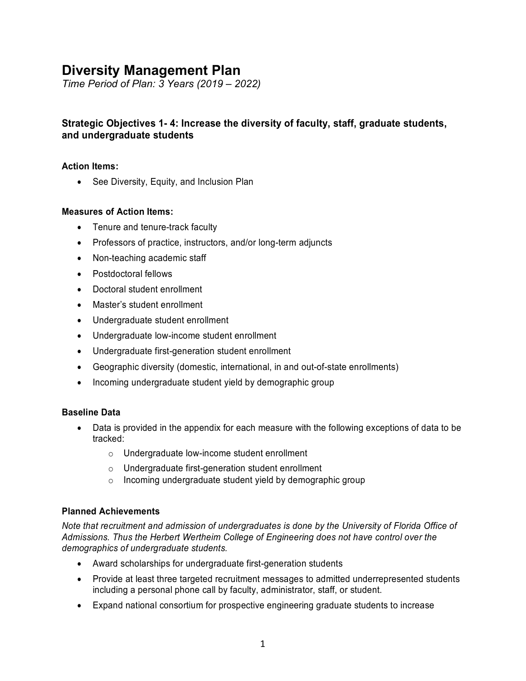# **Diversity Management Plan**

*Time Period of Plan: 3 Years (2019 – 2022)*

# **Strategic Objectives 1- 4: Increase the diversity of faculty, staff, graduate students, and undergraduate students**

## **Action Items:**

• See Diversity, Equity, and Inclusion Plan

## **Measures of Action Items:**

- Tenure and tenure-track faculty
- Professors of practice, instructors, and/or long-term adjuncts
- Non-teaching academic staff
- Postdoctoral fellows
- Doctoral student enrollment
- Master's student enrollment
- Undergraduate student enrollment
- Undergraduate low-income student enrollment
- Undergraduate first-generation student enrollment
- Geographic diversity (domestic, international, in and out-of-state enrollments)
- Incoming undergraduate student yield by demographic group

## **Baseline Data**

- Data is provided in the appendix for each measure with the following exceptions of data to be tracked:
	- o Undergraduate low-income student enrollment
	- o Undergraduate first-generation student enrollment
	- o Incoming undergraduate student yield by demographic group

## **Planned Achievements**

*Note that recruitment and admission of undergraduates is done by the University of Florida Office of Admissions. Thus the Herbert Wertheim College of Engineering does not have control over the demographics of undergraduate students.*

- Award scholarships for undergraduate first-generation students
- Provide at least three targeted recruitment messages to admitted underrepresented students including a personal phone call by faculty, administrator, staff, or student.
- Expand national consortium for prospective engineering graduate students to increase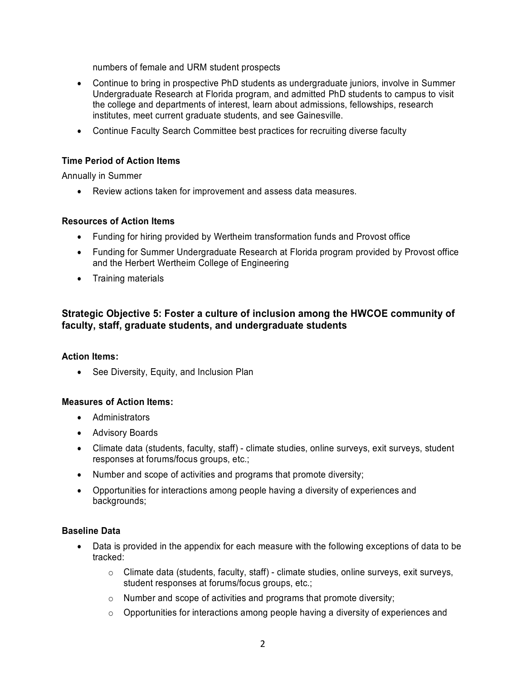numbers of female and URM student prospects

- Continue to bring in prospective PhD students as undergraduate juniors, involve in Summer Undergraduate Research at Florida program, and admitted PhD students to campus to visit the college and departments of interest, learn about admissions, fellowships, research institutes, meet current graduate students, and see Gainesville.
- Continue Faculty Search Committee best practices for recruiting diverse faculty

## **Time Period of Action Items**

Annually in Summer

• Review actions taken for improvement and assess data measures.

## **Resources of Action Items**

- Funding for hiring provided by Wertheim transformation funds and Provost office
- Funding for Summer Undergraduate Research at Florida program provided by Provost office and the Herbert Wertheim College of Engineering
- Training materials

# **Strategic Objective 5: Foster a culture of inclusion among the HWCOE community of faculty, staff, graduate students, and undergraduate students**

#### **Action Items:**

• See Diversity, Equity, and Inclusion Plan

## **Measures of Action Items:**

- Administrators
- Advisory Boards
- Climate data (students, faculty, staff) climate studies, online surveys, exit surveys, student responses at forums/focus groups, etc.;
- Number and scope of activities and programs that promote diversity;
- Opportunities for interactions among people having a diversity of experiences and backgrounds;

## **Baseline Data**

- Data is provided in the appendix for each measure with the following exceptions of data to be tracked:
	- o Climate data (students, faculty, staff) climate studies, online surveys, exit surveys, student responses at forums/focus groups, etc.;
	- o Number and scope of activities and programs that promote diversity;
	- $\circ$  Opportunities for interactions among people having a diversity of experiences and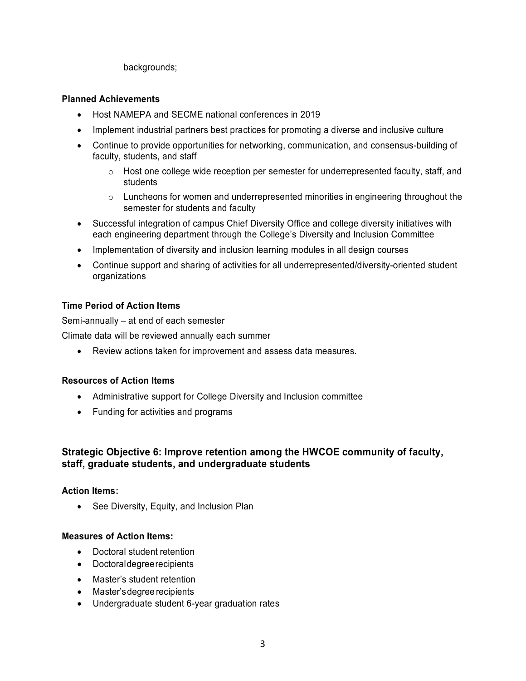backgrounds;

## **Planned Achievements**

- Host NAMEPA and SECME national conferences in 2019
- Implement industrial partners best practices for promoting a diverse and inclusive culture
- Continue to provide opportunities for networking, communication, and consensus-building of faculty, students, and staff
	- $\circ$  Host one college wide reception per semester for underrepresented faculty, staff, and students
	- $\circ$  Luncheons for women and underrepresented minorities in engineering throughout the semester for students and faculty
- Successful integration of campus Chief Diversity Office and college diversity initiatives with each engineering department through the College's Diversity and Inclusion Committee
- Implementation of diversity and inclusion learning modules in all design courses
- Continue support and sharing of activities for all underrepresented/diversity-oriented student organizations

## **Time Period of Action Items**

Semi-annually – at end of each semester

Climate data will be reviewed annually each summer

• Review actions taken for improvement and assess data measures.

## **Resources of Action Items**

- Administrative support for College Diversity and Inclusion committee
- Funding for activities and programs

## **Strategic Objective 6: Improve retention among the HWCOE community of faculty, staff, graduate students, and undergraduate students**

## **Action Items:**

• See Diversity, Equity, and Inclusion Plan

## **Measures of Action Items:**

- Doctoral student retention
- Doctoraldegreerecipients
- Master's student retention
- Master'sdegree recipients
- Undergraduate student 6-year graduation rates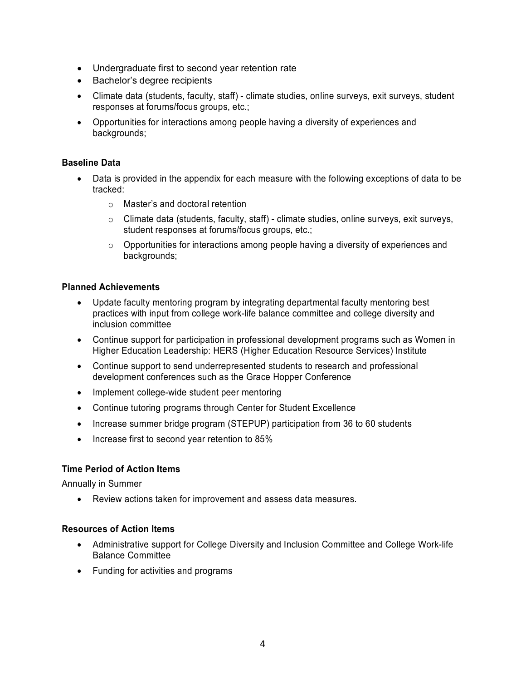- Undergraduate first to second year retention rate
- Bachelor's degree recipients
- Climate data (students, faculty, staff) climate studies, online surveys, exit surveys, student responses at forums/focus groups, etc.;
- Opportunities for interactions among people having a diversity of experiences and backgrounds;

## **Baseline Data**

- Data is provided in the appendix for each measure with the following exceptions of data to be tracked:
	- o Master's and doctoral retention
	- $\circ$  Climate data (students, faculty, staff) climate studies, online surveys, exit surveys, student responses at forums/focus groups, etc.;
	- $\circ$  Opportunities for interactions among people having a diversity of experiences and backgrounds;

## **Planned Achievements**

- Update faculty mentoring program by integrating departmental faculty mentoring best practices with input from college work-life balance committee and college diversity and inclusion committee
- Continue support for participation in professional development programs such as Women in Higher Education Leadership: HERS (Higher Education Resource Services) Institute
- Continue support to send underrepresented students to research and professional development conferences such as the Grace Hopper Conference
- Implement college-wide student peer mentoring
- Continue tutoring programs through Center for Student Excellence
- Increase summer bridge program (STEPUP) participation from 36 to 60 students
- Increase first to second year retention to 85%

## **Time Period of Action Items**

Annually in Summer

• Review actions taken for improvement and assess data measures.

#### **Resources of Action Items**

- Administrative support for College Diversity and Inclusion Committee and College Work-life Balance Committee
- Funding for activities and programs